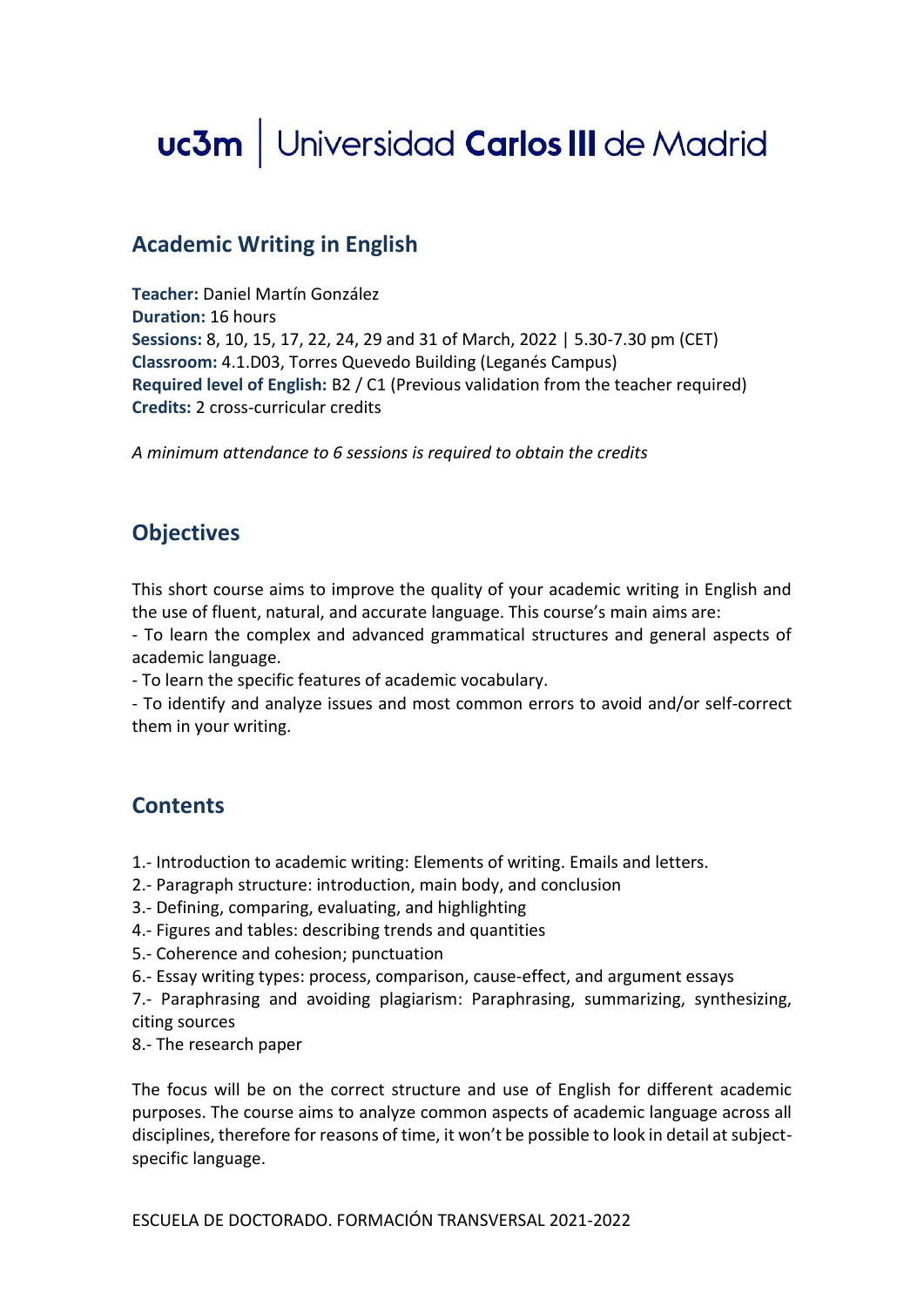# uc3m | Universidad Carlos III de Madrid

# **Academic Writing in English**

**Teacher:** Daniel Martín González **Duration:** 16 hours **Sessions:** 8, 10, 15, 17, 22, 24, 29 and 31 of March, 2022 | 5.30-7.30 pm (CET) **Classroom:** 4.1.D03, Torres Quevedo Building (Leganés Campus) **Required level of English:** B2 / C1 (Previous validation from the teacher required) **Credits:** 2 cross-curricular credits

*A minimum attendance to 6 sessions is required to obtain the credits*

# **Objectives**

This short course aims to improve the quality of your academic writing in English and the use of fluent, natural, and accurate language. This course's main aims are:

- To learn the complex and advanced grammatical structures and general aspects of academic language.

- To learn the specific features of academic vocabulary.

- To identify and analyze issues and most common errors to avoid and/or self-correct them in your writing.

#### **Contents**

1.- Introduction to academic writing: Elements of writing. Emails and letters.

- 2.- Paragraph structure: introduction, main body, and conclusion
- 3.- Defining, comparing, evaluating, and highlighting
- 4.- Figures and tables: describing trends and quantities
- 5.- Coherence and cohesion; punctuation
- 6.- Essay writing types: process, comparison, cause-effect, and argument essays

7.- Paraphrasing and avoiding plagiarism: Paraphrasing, summarizing, synthesizing, citing sources

8.- The research paper

The focus will be on the correct structure and use of English for different academic purposes. The course aims to analyze common aspects of academic language across all disciplines, therefore for reasons of time, it won't be possible to look in detail at subjectspecific language.